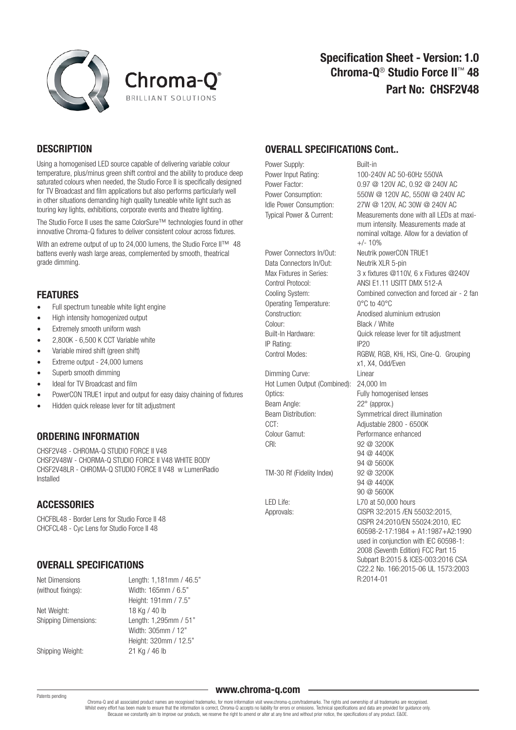



# **DESCRIPTION**

Using a homogenised LED source capable of delivering variable colour temperature, plus/minus green shift control and the ability to produce deep saturated colours when needed, the Studio Force II is specifically designed for TV Broadcast and film applications but also performs particularly well in other situations demanding high quality tuneable white light such as touring key lights, exhibitions, corporate events and theatre lighting.

The Studio Force II uses the same ColorSure™ technologies found in other innovative Chroma-Q fixtures to deliver consistent colour across fixtures.

With an extreme output of up to 24,000 lumens, the Studio Force II™ 48 battens evenly wash large areas, complemented by smooth, theatrical grade dimming.

# FEATURES

- Full spectrum tuneable white light engine
- High intensity homogenized output
- Extremely smooth uniform wash
- 2,800K 6,500 K CCT Variable white
- Variable mired shift (green shift)
- Extreme output 24,000 lumens
- Superb smooth dimming
- Ideal for TV Broadcast and film
- PowerCON TRUE1 input and output for easy daisy chaining of fixtures
- Hidden quick release lever for tilt adjustment

## ORDERING INFORMATION

CHSF2V48 - CHROMA-Q STUDIO FORCE II V48 CHSF2V48W - CHORMA-Q STUDIO FORCE II V48 WHITE BODY CHSF2V48LR - CHROMA-Q STUDIO FORCE II V48 w LumenRadio Installed

# **ACCESSORIES**

CHCFBL48 - Border Lens for Studio Force II 48 CHCFCL48 - Cyc Lens for Studio Force II 48

# OVERALL SPECIFICATIONS

| Net Dimensions              | Length: 1,181mm / 46.5" |
|-----------------------------|-------------------------|
| (without fixings):          | Width: 165mm / 6.5"     |
|                             | Height: 191mm / 7.5"    |
| Net Weight:                 | 18 Kg / 40 lb           |
| <b>Shipping Dimensions:</b> | Length: 1,295mm / 51"   |
|                             | Width: 305mm / 12"      |
|                             | Height: 320mm / 12.5"   |
| Shipping Weight:            | 21 Kg / 46 lb           |

# OVERALL SPECIFICATIONS Cont..

Power Supply: Built-in Power Input Rating: 100-240V AC 50-60Hz 550VA

Data Connectors In/Out: Neutrik XLR 5-pin Operating Temperature: 0°C to 40°C Colour: Black / White IP Rating: IP20

Dimming Curve: Linear Hot Lumen Output (Combined): 24,000 lm Optics: Fully homogenised lenses Beam Angle: 22° (approx.) Beam Distribution: Symmetrical direct illumination CCT: Adjustable 2800 - 6500K Colour Gamut: Performance enhanced CRI: 92 @ 3200K

TM-30 Rf (Fidelity Index) 92 @ 3200K

Power Factor: 0.97 @ 120V AC, 0.92 @ 240V AC Power Consumption: 550W @ 120V AC, 550W @ 240V AC Idle Power Consumption: 27W @ 120V, AC 30W @ 240V AC Typical Power & Current: Measurements done with all LEDs at maxi mum intensity. Measurements made at nominal voltage. Allow for a deviation of  $+/- 10%$ Power Connectors In/Out: Neutrik powerCON TRUE1 Max Fixtures in Series: 3 x fixtures @110V, 6 x Fixtures @240V Control Protocol: ANSI E1.11 USITT DMX 512-A Cooling System: Combined convection and forced air - 2 fan Construction: Anodised aluminium extrusion Built-In Hardware: Quick release lever for tilt adjustment Control Modes: RGBW, RGB, KHi, HSi, Cine-Q. Grouping x1, X4, Odd/Even 94 @ 4400K 94 @ 5600K 94 @ 4400K 90 @ 5600K LED Life: L70 at 50,000 hours Approvals: CISPR 32:2015 /EN 55032:2015, CISPR 24:2010/EN 55024:2010, IEC 60598-2-17:1984 + A1:1987+A2:1990 used in conjunction with IEC 60598-1: 2008 (Seventh Edition) FCC Part 15 Subpart B:2015 & ICES-003:2016 CSA C22.2 No. 166:2015-06 UL 1573:2003 R:2014-01

#### Patents pending

www.chroma-q.com

Chroma-Q and all associated product names are recognised trademarks, for more information visit www.chroma-q.com/trademarks. The rights and ownership of all trademarks are recognised. Whilst every effort has been made to ensure that the information is correct, Chroma-Q accepts no liability for errors or omissions. Technical specifications and data are provided for guidance only. Because we constantly aim to improve our products, we reserve the right to amend or alter at any time and without prior notice, the specifications of any product. E&OE